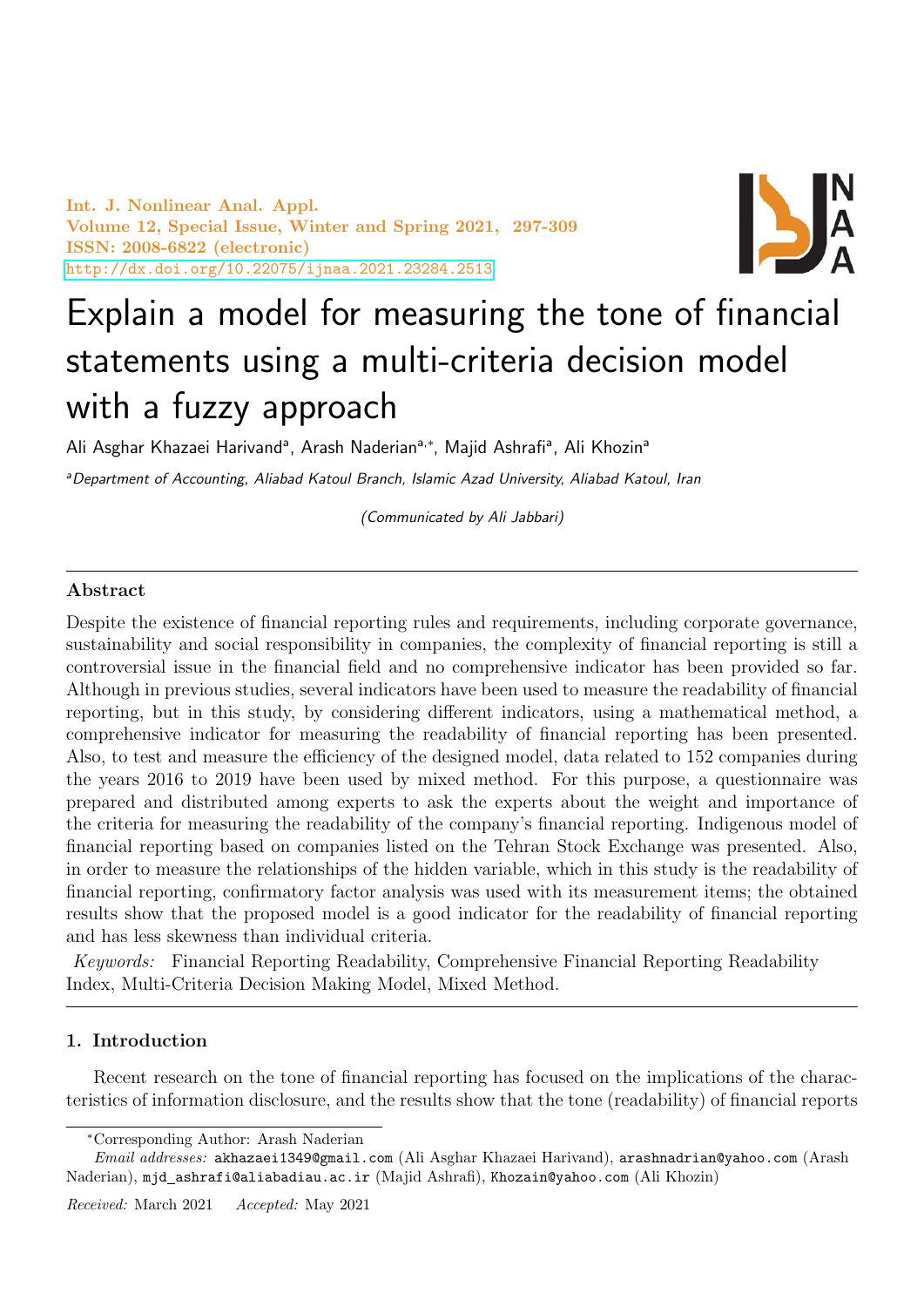Int. J. Nonlinear Anal. Appl. Volume 12, Special Issue, Winter and Spring 2021, 297-309 ISSN: 2008-6822 (electronic) <http://dx.doi.org/10.22075/ijnaa.2021.23284.2513>



# Explain a model for measuring the tone of financial statements using a multi-criteria decision model with a fuzzy approach

Ali Asghar Khazaei Harivand<sup>a</sup>, Arash Naderian<sup>a,∗</sup>, Majid Ashrafi<sup>a</sup>, Ali Khozin<sup>a</sup>

aDepartment of Accounting, Aliabad Katoul Branch, Islamic Azad University, Aliabad Katoul, Iran

(Communicated by Ali Jabbari)

## Abstract

Despite the existence of financial reporting rules and requirements, including corporate governance, sustainability and social responsibility in companies, the complexity of financial reporting is still a controversial issue in the financial field and no comprehensive indicator has been provided so far. Although in previous studies, several indicators have been used to measure the readability of financial reporting, but in this study, by considering different indicators, using a mathematical method, a comprehensive indicator for measuring the readability of financial reporting has been presented. Also, to test and measure the efficiency of the designed model, data related to 152 companies during the years 2016 to 2019 have been used by mixed method. For this purpose, a questionnaire was prepared and distributed among experts to ask the experts about the weight and importance of the criteria for measuring the readability of the company's financial reporting. Indigenous model of financial reporting based on companies listed on the Tehran Stock Exchange was presented. Also, in order to measure the relationships of the hidden variable, which in this study is the readability of financial reporting, confirmatory factor analysis was used with its measurement items; the obtained results show that the proposed model is a good indicator for the readability of financial reporting and has less skewness than individual criteria.

Keywords: Financial Reporting Readability, Comprehensive Financial Reporting Readability Index, Multi-Criteria Decision Making Model, Mixed Method.

#### 1. Introduction

Recent research on the tone of financial reporting has focused on the implications of the characteristics of information disclosure, and the results show that the tone (readability) of financial reports

<sup>∗</sup>Corresponding Author: Arash Naderian

Email addresses: akhazaei1349@gmail.com (Ali Asghar Khazaei Harivand), arashnadrian@yahoo.com (Arash Naderian), mjd ashrafi@aliabadiau.ac.ir (Majid Ashrafi), Khozain@yahoo.com (Ali Khozin)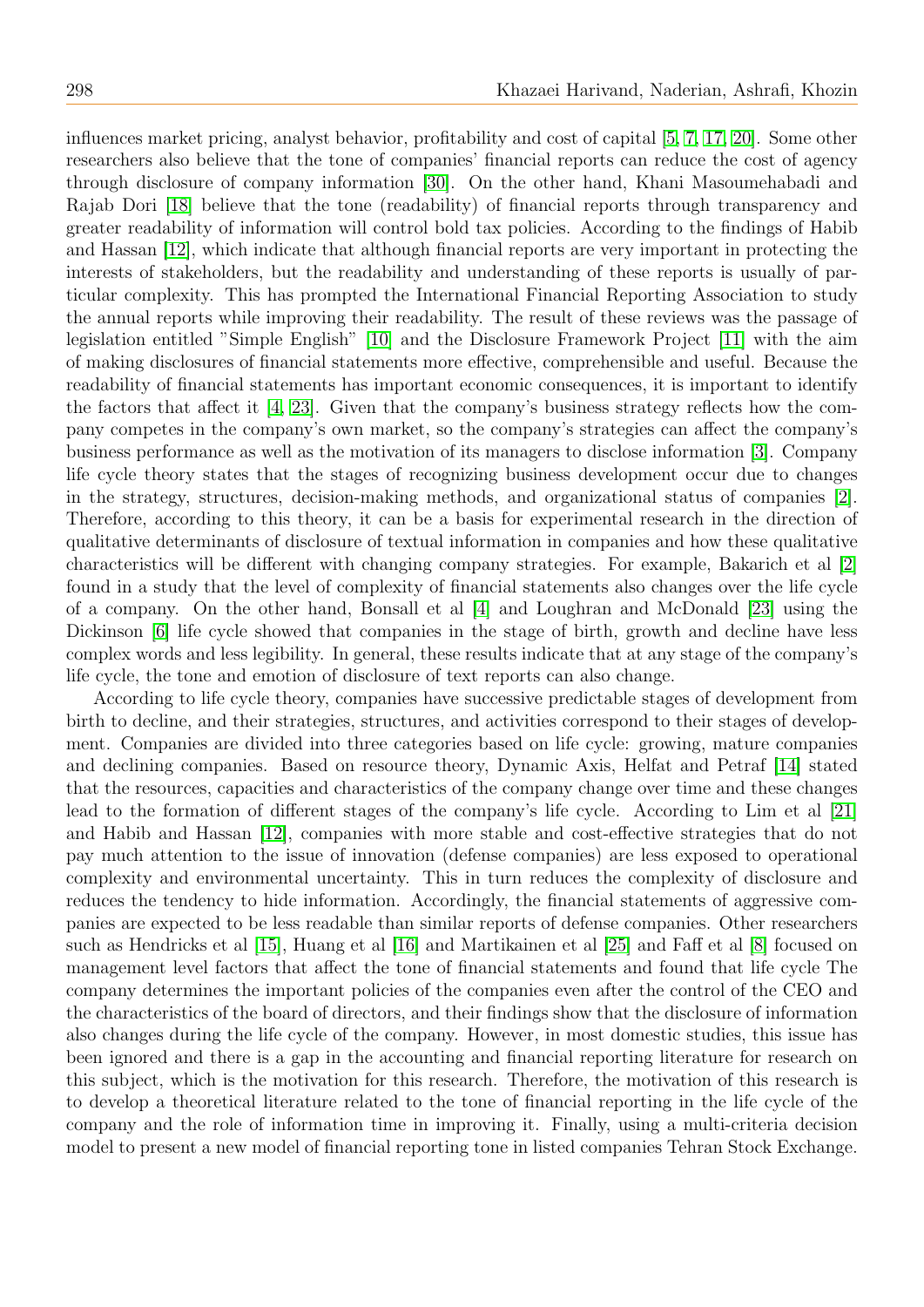influences market pricing, analyst behavior, profitability and cost of capital [\[5,](#page-11-0) [7,](#page-11-1) [17,](#page-11-2) [20\]](#page-11-3). Some other researchers also believe that the tone of companies' financial reports can reduce the cost of agency through disclosure of company information [\[30\]](#page-12-0). On the other hand, Khani Masoumehabadi and Rajab Dori [\[18\]](#page-11-4) believe that the tone (readability) of financial reports through transparency and greater readability of information will control bold tax policies. According to the findings of Habib and Hassan [\[12\]](#page-11-5), which indicate that although financial reports are very important in protecting the interests of stakeholders, but the readability and understanding of these reports is usually of particular complexity. This has prompted the International Financial Reporting Association to study the annual reports while improving their readability. The result of these reviews was the passage of legislation entitled "Simple English" [\[10\]](#page-11-6) and the Disclosure Framework Project [\[11\]](#page-11-7) with the aim of making disclosures of financial statements more effective, comprehensible and useful. Because the readability of financial statements has important economic consequences, it is important to identify the factors that affect it [\[4,](#page-11-8) [23\]](#page-11-9). Given that the company's business strategy reflects how the company competes in the company's own market, so the company's strategies can affect the company's business performance as well as the motivation of its managers to disclose information [\[3\]](#page-11-10). Company life cycle theory states that the stages of recognizing business development occur due to changes in the strategy, structures, decision-making methods, and organizational status of companies [\[2\]](#page-11-11). Therefore, according to this theory, it can be a basis for experimental research in the direction of qualitative determinants of disclosure of textual information in companies and how these qualitative characteristics will be different with changing company strategies. For example, Bakarich et al [\[2\]](#page-11-11) found in a study that the level of complexity of financial statements also changes over the life cycle of a company. On the other hand, Bonsall et al [\[4\]](#page-11-8) and Loughran and McDonald [\[23\]](#page-11-9) using the Dickinson [\[6\]](#page-11-12) life cycle showed that companies in the stage of birth, growth and decline have less complex words and less legibility. In general, these results indicate that at any stage of the company's life cycle, the tone and emotion of disclosure of text reports can also change.

According to life cycle theory, companies have successive predictable stages of development from birth to decline, and their strategies, structures, and activities correspond to their stages of development. Companies are divided into three categories based on life cycle: growing, mature companies and declining companies. Based on resource theory, Dynamic Axis, Helfat and Petraf [\[14\]](#page-11-13) stated that the resources, capacities and characteristics of the company change over time and these changes lead to the formation of different stages of the company's life cycle. According to Lim et al [\[21\]](#page-11-14) and Habib and Hassan [\[12\]](#page-11-5), companies with more stable and cost-effective strategies that do not pay much attention to the issue of innovation (defense companies) are less exposed to operational complexity and environmental uncertainty. This in turn reduces the complexity of disclosure and reduces the tendency to hide information. Accordingly, the financial statements of aggressive companies are expected to be less readable than similar reports of defense companies. Other researchers such as Hendricks et al [\[15\]](#page-11-15), Huang et al [\[16\]](#page-11-16) and Martikainen et al [\[25\]](#page-12-1) and Faff et al [\[8\]](#page-11-17) focused on management level factors that affect the tone of financial statements and found that life cycle The company determines the important policies of the companies even after the control of the CEO and the characteristics of the board of directors, and their findings show that the disclosure of information also changes during the life cycle of the company. However, in most domestic studies, this issue has been ignored and there is a gap in the accounting and financial reporting literature for research on this subject, which is the motivation for this research. Therefore, the motivation of this research is to develop a theoretical literature related to the tone of financial reporting in the life cycle of the company and the role of information time in improving it. Finally, using a multi-criteria decision model to present a new model of financial reporting tone in listed companies Tehran Stock Exchange.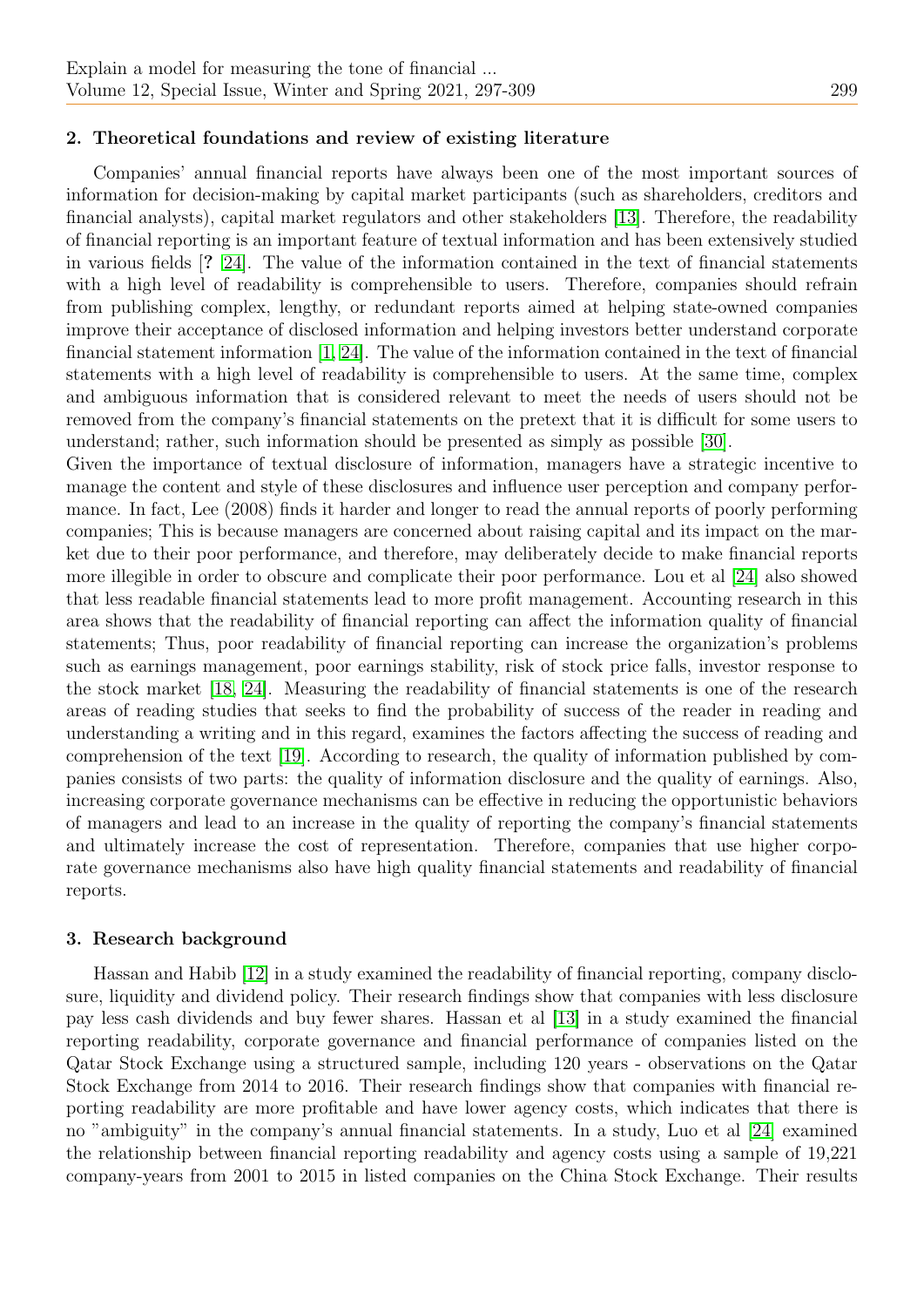### 2. Theoretical foundations and review of existing literature

Companies' annual financial reports have always been one of the most important sources of information for decision-making by capital market participants (such as shareholders, creditors and financial analysts), capital market regulators and other stakeholders [\[13\]](#page-11-18). Therefore, the readability of financial reporting is an important feature of textual information and has been extensively studied in various fields [? [24\]](#page-12-2). The value of the information contained in the text of financial statements with a high level of readability is comprehensible to users. Therefore, companies should refrain from publishing complex, lengthy, or redundant reports aimed at helping state-owned companies improve their acceptance of disclosed information and helping investors better understand corporate financial statement information [\[1,](#page-11-19) [24\]](#page-12-2). The value of the information contained in the text of financial statements with a high level of readability is comprehensible to users. At the same time, complex and ambiguous information that is considered relevant to meet the needs of users should not be removed from the company's financial statements on the pretext that it is difficult for some users to understand; rather, such information should be presented as simply as possible [\[30\]](#page-12-0).

Given the importance of textual disclosure of information, managers have a strategic incentive to manage the content and style of these disclosures and influence user perception and company performance. In fact, Lee (2008) finds it harder and longer to read the annual reports of poorly performing companies; This is because managers are concerned about raising capital and its impact on the market due to their poor performance, and therefore, may deliberately decide to make financial reports more illegible in order to obscure and complicate their poor performance. Lou et al [\[24\]](#page-12-2) also showed that less readable financial statements lead to more profit management. Accounting research in this area shows that the readability of financial reporting can affect the information quality of financial statements; Thus, poor readability of financial reporting can increase the organization's problems such as earnings management, poor earnings stability, risk of stock price falls, investor response to the stock market [\[18,](#page-11-4) [24\]](#page-12-2). Measuring the readability of financial statements is one of the research areas of reading studies that seeks to find the probability of success of the reader in reading and understanding a writing and in this regard, examines the factors affecting the success of reading and comprehension of the text [\[19\]](#page-11-20). According to research, the quality of information published by companies consists of two parts: the quality of information disclosure and the quality of earnings. Also, increasing corporate governance mechanisms can be effective in reducing the opportunistic behaviors of managers and lead to an increase in the quality of reporting the company's financial statements and ultimately increase the cost of representation. Therefore, companies that use higher corporate governance mechanisms also have high quality financial statements and readability of financial reports.

#### 3. Research background

Hassan and Habib [\[12\]](#page-11-5) in a study examined the readability of financial reporting, company disclosure, liquidity and dividend policy. Their research findings show that companies with less disclosure pay less cash dividends and buy fewer shares. Hassan et al [\[13\]](#page-11-18) in a study examined the financial reporting readability, corporate governance and financial performance of companies listed on the Qatar Stock Exchange using a structured sample, including 120 years - observations on the Qatar Stock Exchange from 2014 to 2016. Their research findings show that companies with financial reporting readability are more profitable and have lower agency costs, which indicates that there is no "ambiguity" in the company's annual financial statements. In a study, Luo et al [\[24\]](#page-12-2) examined the relationship between financial reporting readability and agency costs using a sample of 19,221 company-years from 2001 to 2015 in listed companies on the China Stock Exchange. Their results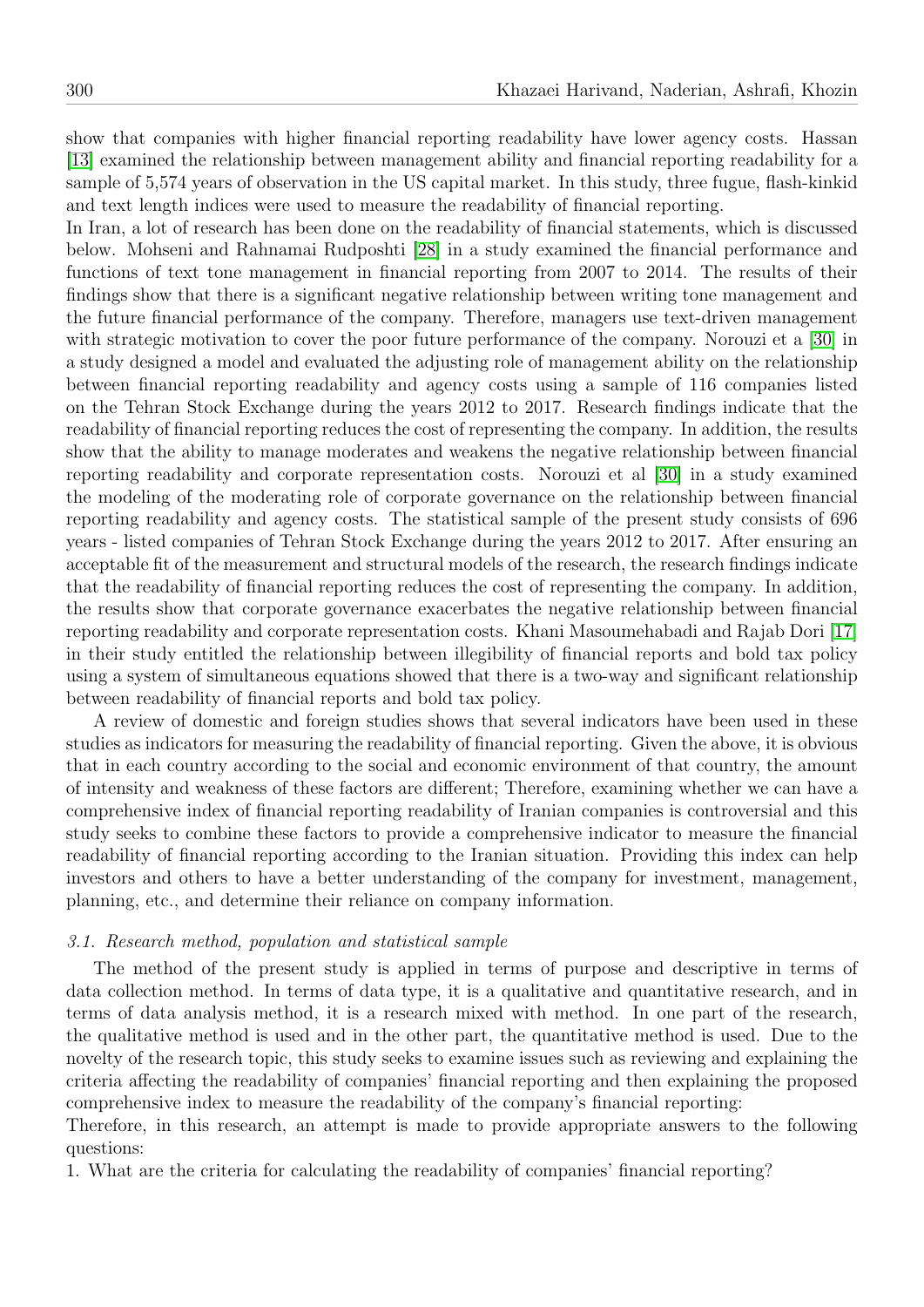show that companies with higher financial reporting readability have lower agency costs. Hassan [\[13\]](#page-11-18) examined the relationship between management ability and financial reporting readability for a sample of 5,574 years of observation in the US capital market. In this study, three fugue, flash-kinkid and text length indices were used to measure the readability of financial reporting.

In Iran, a lot of research has been done on the readability of financial statements, which is discussed below. Mohseni and Rahnamai Rudposhti [\[28\]](#page-12-3) in a study examined the financial performance and functions of text tone management in financial reporting from 2007 to 2014. The results of their findings show that there is a significant negative relationship between writing tone management and the future financial performance of the company. Therefore, managers use text-driven management with strategic motivation to cover the poor future performance of the company. Norouzi et a [\[30\]](#page-12-0) in a study designed a model and evaluated the adjusting role of management ability on the relationship between financial reporting readability and agency costs using a sample of 116 companies listed on the Tehran Stock Exchange during the years 2012 to 2017. Research findings indicate that the readability of financial reporting reduces the cost of representing the company. In addition, the results show that the ability to manage moderates and weakens the negative relationship between financial reporting readability and corporate representation costs. Norouzi et al [\[30\]](#page-12-0) in a study examined the modeling of the moderating role of corporate governance on the relationship between financial reporting readability and agency costs. The statistical sample of the present study consists of 696 years - listed companies of Tehran Stock Exchange during the years 2012 to 2017. After ensuring an acceptable fit of the measurement and structural models of the research, the research findings indicate that the readability of financial reporting reduces the cost of representing the company. In addition, the results show that corporate governance exacerbates the negative relationship between financial reporting readability and corporate representation costs. Khani Masoumehabadi and Rajab Dori [\[17\]](#page-11-2) in their study entitled the relationship between illegibility of financial reports and bold tax policy using a system of simultaneous equations showed that there is a two-way and significant relationship between readability of financial reports and bold tax policy.

A review of domestic and foreign studies shows that several indicators have been used in these studies as indicators for measuring the readability of financial reporting. Given the above, it is obvious that in each country according to the social and economic environment of that country, the amount of intensity and weakness of these factors are different; Therefore, examining whether we can have a comprehensive index of financial reporting readability of Iranian companies is controversial and this study seeks to combine these factors to provide a comprehensive indicator to measure the financial readability of financial reporting according to the Iranian situation. Providing this index can help investors and others to have a better understanding of the company for investment, management, planning, etc., and determine their reliance on company information.

#### 3.1. Research method, population and statistical sample

The method of the present study is applied in terms of purpose and descriptive in terms of data collection method. In terms of data type, it is a qualitative and quantitative research, and in terms of data analysis method, it is a research mixed with method. In one part of the research, the qualitative method is used and in the other part, the quantitative method is used. Due to the novelty of the research topic, this study seeks to examine issues such as reviewing and explaining the criteria affecting the readability of companies' financial reporting and then explaining the proposed comprehensive index to measure the readability of the company's financial reporting:

Therefore, in this research, an attempt is made to provide appropriate answers to the following questions:

1. What are the criteria for calculating the readability of companies' financial reporting?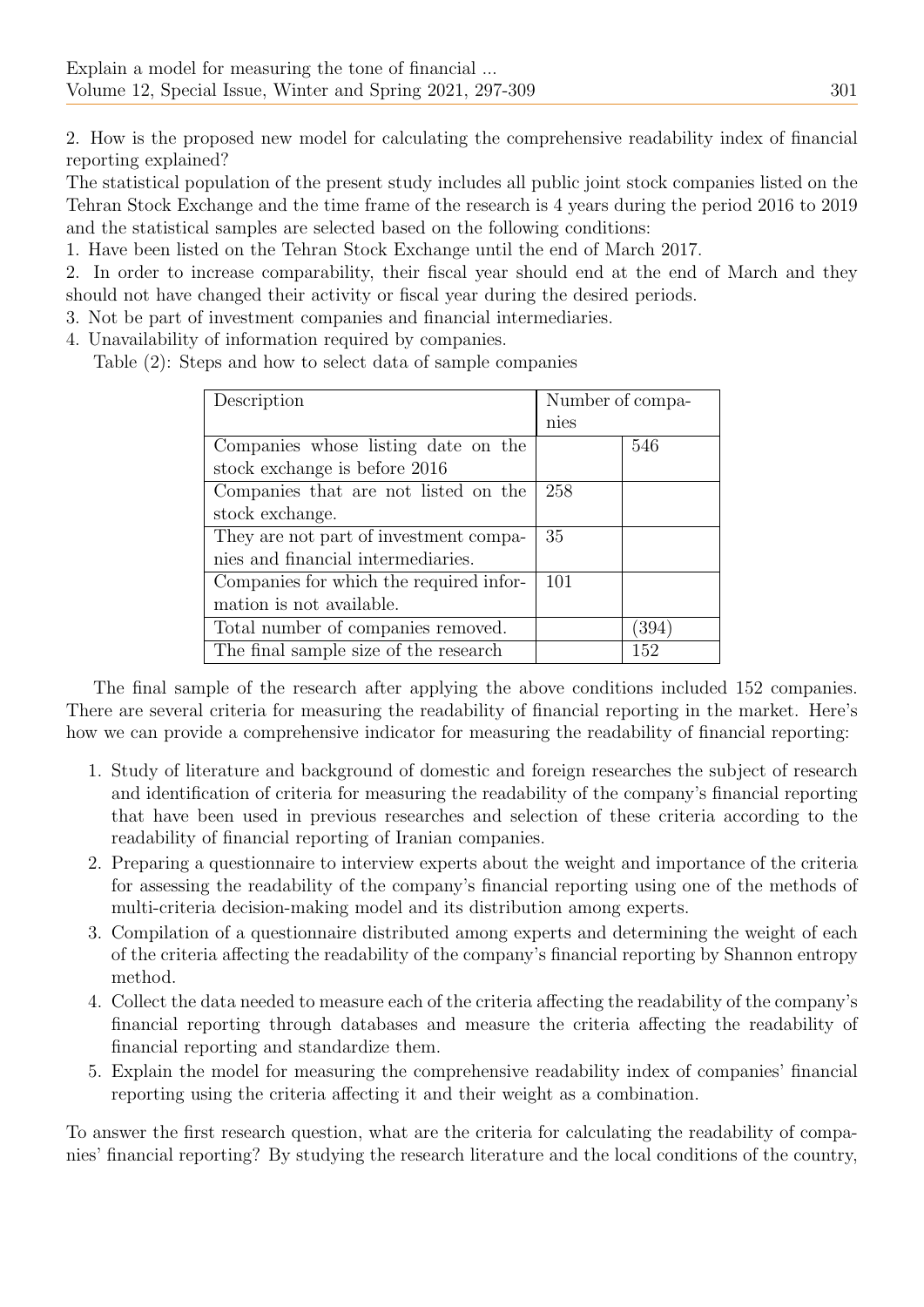2. How is the proposed new model for calculating the comprehensive readability index of financial reporting explained?

The statistical population of the present study includes all public joint stock companies listed on the Tehran Stock Exchange and the time frame of the research is 4 years during the period 2016 to 2019 and the statistical samples are selected based on the following conditions:

1. Have been listed on the Tehran Stock Exchange until the end of March 2017.

2. In order to increase comparability, their fiscal year should end at the end of March and they should not have changed their activity or fiscal year during the desired periods.

3. Not be part of investment companies and financial intermediaries.

4. Unavailability of information required by companies.

Table (2): Steps and how to select data of sample companies

| Description                             | Number of compa- |       |
|-----------------------------------------|------------------|-------|
|                                         | nies             |       |
| Companies whose listing date on the     |                  | 546   |
| stock exchange is before 2016           |                  |       |
| Companies that are not listed on the    | 258              |       |
| stock exchange.                         |                  |       |
| They are not part of investment compa-  | 35               |       |
| nies and financial intermediaries.      |                  |       |
| Companies for which the required infor- | 101              |       |
| mation is not available.                |                  |       |
| Total number of companies removed.      |                  | '394' |
| The final sample size of the research   |                  | 152   |

The final sample of the research after applying the above conditions included 152 companies. There are several criteria for measuring the readability of financial reporting in the market. Here's how we can provide a comprehensive indicator for measuring the readability of financial reporting:

- 1. Study of literature and background of domestic and foreign researches the subject of research and identification of criteria for measuring the readability of the company's financial reporting that have been used in previous researches and selection of these criteria according to the readability of financial reporting of Iranian companies.
- 2. Preparing a questionnaire to interview experts about the weight and importance of the criteria for assessing the readability of the company's financial reporting using one of the methods of multi-criteria decision-making model and its distribution among experts.
- 3. Compilation of a questionnaire distributed among experts and determining the weight of each of the criteria affecting the readability of the company's financial reporting by Shannon entropy method.
- 4. Collect the data needed to measure each of the criteria affecting the readability of the company's financial reporting through databases and measure the criteria affecting the readability of financial reporting and standardize them.
- 5. Explain the model for measuring the comprehensive readability index of companies' financial reporting using the criteria affecting it and their weight as a combination.

To answer the first research question, what are the criteria for calculating the readability of companies' financial reporting? By studying the research literature and the local conditions of the country,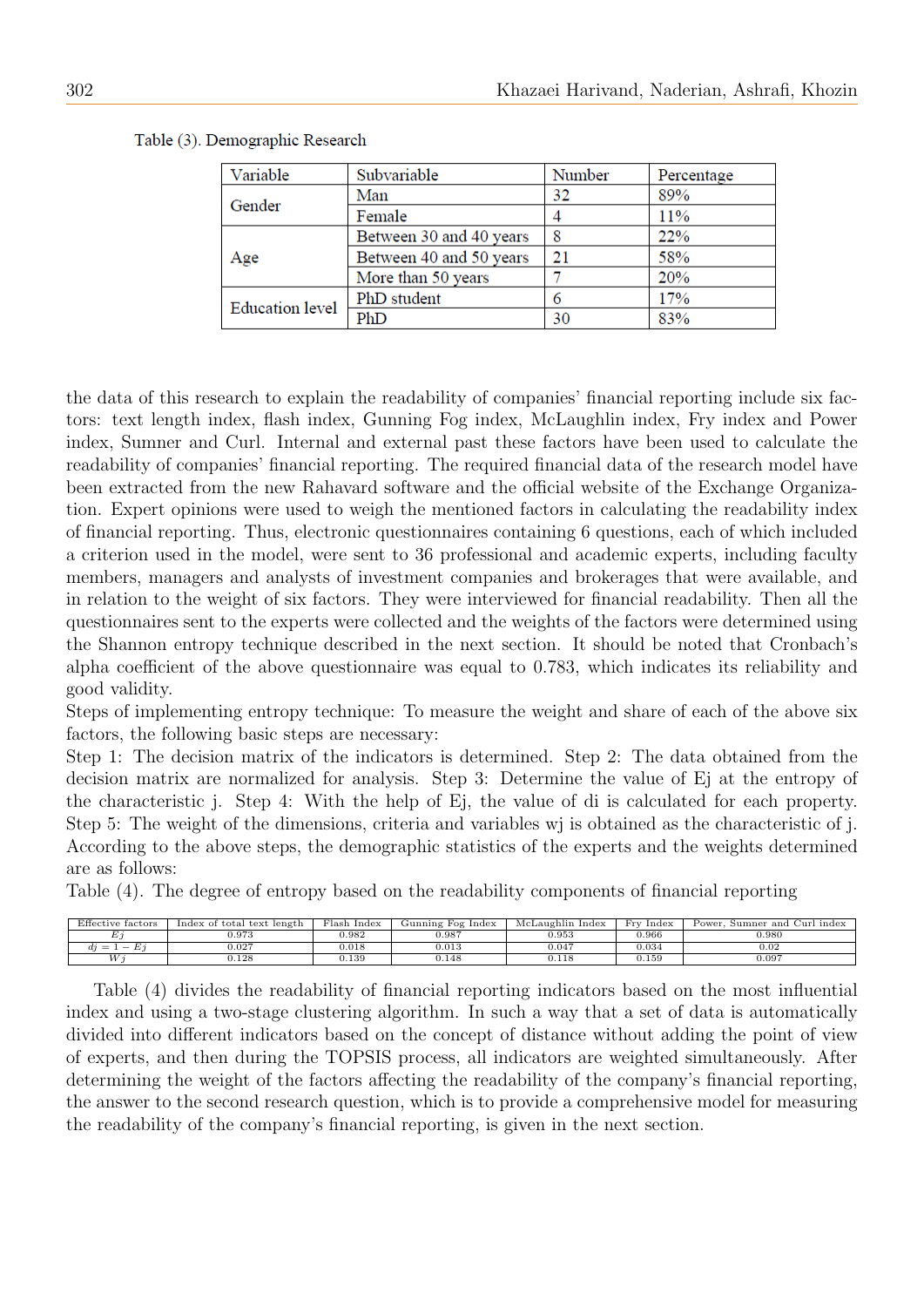| Variable               | Subvariable             | Number | Percentage |
|------------------------|-------------------------|--------|------------|
| Gender                 | Man                     | 32     | 89%        |
|                        | Female                  |        | 11%        |
|                        | Between 30 and 40 years |        | 22%        |
| Age                    | Between 40 and 50 years | 21     | 58%        |
|                        | More than 50 years      |        | 20%        |
| <b>Education level</b> | PhD student             |        | 17%        |
|                        | PhD                     | 30     | 83%        |

Table (3). Demographic Research

the data of this research to explain the readability of companies' financial reporting include six factors: text length index, flash index, Gunning Fog index, McLaughlin index, Fry index and Power index, Sumner and Curl. Internal and external past these factors have been used to calculate the readability of companies' financial reporting. The required financial data of the research model have been extracted from the new Rahavard software and the official website of the Exchange Organization. Expert opinions were used to weigh the mentioned factors in calculating the readability index of financial reporting. Thus, electronic questionnaires containing 6 questions, each of which included a criterion used in the model, were sent to 36 professional and academic experts, including faculty members, managers and analysts of investment companies and brokerages that were available, and in relation to the weight of six factors. They were interviewed for financial readability. Then all the questionnaires sent to the experts were collected and the weights of the factors were determined using the Shannon entropy technique described in the next section. It should be noted that Cronbach's alpha coefficient of the above questionnaire was equal to 0.783, which indicates its reliability and good validity.

Steps of implementing entropy technique: To measure the weight and share of each of the above six factors, the following basic steps are necessary:

Step 1: The decision matrix of the indicators is determined. Step 2: The data obtained from the decision matrix are normalized for analysis. Step 3: Determine the value of Ej at the entropy of the characteristic j. Step 4: With the help of Ej, the value of di is calculated for each property. Step 5: The weight of the dimensions, criteria and variables wj is obtained as the characteristic of j. According to the above steps, the demographic statistics of the experts and the weights determined are as follows:

Table (4). The degree of entropy based on the readability components of financial reporting

| Effective factors          | Index of total text length | Flash Index | Gunning Fog Index | McLaughlin Index | Fry Index  | Power, Sumner and Curl index |
|----------------------------|----------------------------|-------------|-------------------|------------------|------------|------------------------------|
| ∸                          | 0.973                      | 0.982       | 0.987             | 0.953            | 0.966      | 0.980                        |
| $=$ $\top$<br>d1<br>$\sim$ | 0.027                      | 0.018       | 0.015             | 0.047            | $_{0.034}$ | 0.02                         |
| M                          | 0.128                      | 1.139       | 0.148             | ).118            | $_{0.159}$ | 0.097                        |

Table (4) divides the readability of financial reporting indicators based on the most influential index and using a two-stage clustering algorithm. In such a way that a set of data is automatically divided into different indicators based on the concept of distance without adding the point of view of experts, and then during the TOPSIS process, all indicators are weighted simultaneously. After determining the weight of the factors affecting the readability of the company's financial reporting, the answer to the second research question, which is to provide a comprehensive model for measuring the readability of the company's financial reporting, is given in the next section.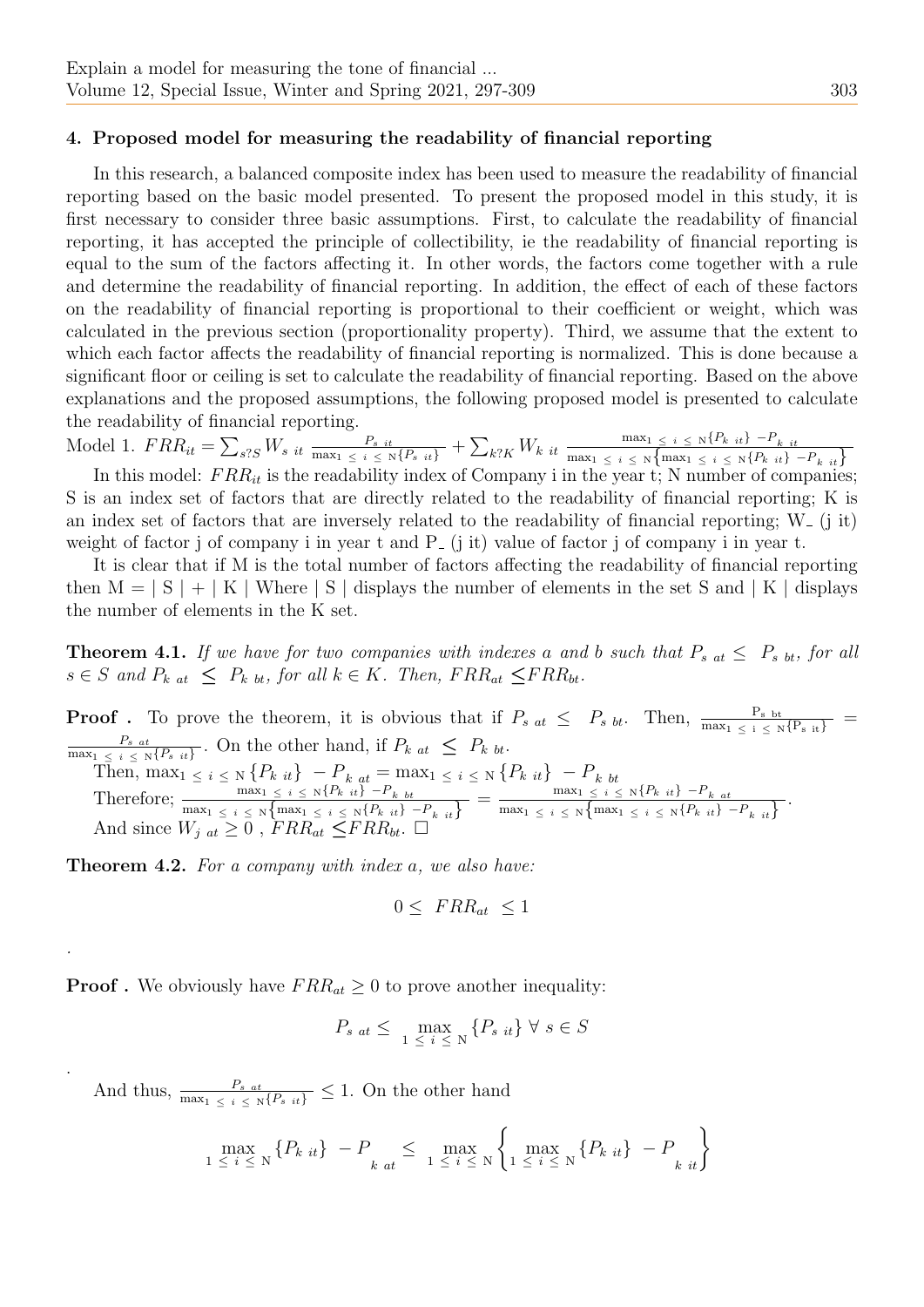#### 4. Proposed model for measuring the readability of financial reporting

In this research, a balanced composite index has been used to measure the readability of financial reporting based on the basic model presented. To present the proposed model in this study, it is first necessary to consider three basic assumptions. First, to calculate the readability of financial reporting, it has accepted the principle of collectibility, ie the readability of financial reporting is equal to the sum of the factors affecting it. In other words, the factors come together with a rule and determine the readability of financial reporting. In addition, the effect of each of these factors on the readability of financial reporting is proportional to their coefficient or weight, which was calculated in the previous section (proportionality property). Third, we assume that the extent to which each factor affects the readability of financial reporting is normalized. This is done because a significant floor or ceiling is set to calculate the readability of financial reporting. Based on the above explanations and the proposed assumptions, the following proposed model is presented to calculate the readability of financial reporting.

Model 1.  $FRR_{it} = \sum_{s?S} W_{s it} \frac{P_{s it}}{\max_{1 \leq i \leq N} \{P_{s it}\}} + \sum_{k?K} W_{k it} \frac{\max_{1 \leq i \leq N} \{P_{k it}\} - P_{k it}}{\max_{1 \leq i \leq N} \{\max_{1 \leq i \leq N} \{P_{k it}\}}}$  $\max_1 \leq i \leq \mathbb{N} \left\{ \max_1 \leq i \leq \mathbb{N} \left\{ P_{k} \right| it \right\} - P_{k} \left| it \right| \right\}$ 

In this model:  $FRR_{it}$  is the readability index of Company i in the year t; N number of companies; S is an index set of factors that are directly related to the readability of financial reporting; K is an index set of factors that are inversely related to the readability of financial reporting;  $W_{-}$  (j it) weight of factor j of company i in year t and  $P_-(i, it)$  value of factor j of company i in year t.

It is clear that if M is the total number of factors affecting the readability of financial reporting then  $M = |S| + |K|$  Where  $|S|$  displays the number of elements in the set S and  $|K|$  displays the number of elements in the K set.

<span id="page-6-0"></span>**Theorem 4.1.** If we have for two companies with indexes a and b such that  $P_{s \atop b} \leq P_{s \atop b}$  for all  $s \in S$  and  $P_{kat} \leq P_{kbt}$ , for all  $k \in K$ . Then,  $FRR_{at} \leq FRR_{bt}$ .

**Proof**. To prove the theorem, it is obvious that if  $P_{s \atop at} \leq P_{s \atop at}$ . Then,  $\frac{P_{s \atop b}}{\max_{1 \leq i \leq N} \{P_{s \atop it}\}}}$  $P_{s \ at}$  $\frac{P_{sat}}{\max_{1 \leq i \leq N} \{P_{sit}\}}$ . On the other hand, if  $P_{kat} \leq P_{kbt}$ . Then,  $\max_{1 \leq i \leq N} \{P_{k} \atop i \in \mathbb{Z}}\} - P_{k} \atop \text{at} = \max_{1 \leq i \leq N} \{P_{k} \atop i \in \mathbb{Z}}\} - P_{k} \atop \text{at}$ Therefore; max<sup>1</sup> <sup>≤</sup> <sup>i</sup> <sup>≤</sup> <sup>N</sup>{Pk it} −Pk bt max<sup>1</sup> <sup>≤</sup> <sup>i</sup> <sup>≤</sup> <sup>N</sup>{max<sup>1</sup> <sup>≤</sup> <sup>i</sup> <sup>≤</sup> <sup>N</sup>{Pk it} −Pk it} = max<sup>1</sup> <sup>≤</sup> <sup>i</sup> <sup>≤</sup> <sup>N</sup>{Pk it} −Pk at  $\frac{\max_1 \leq i \leq N\{F_k\ it\} - F_{k\ at}}{\max_1 \leq i \leq N\{\max_1 \leq i \leq N\{P_{k}\ it\} - P_{k\ it}\}}.$ And since  $W_{j at} \geq 0$ ,  $FRR_{at} \leq FRR_{bt}$ .  $\Box$ 

Theorem 4.2. For a company with index a, we also have:

.

.

<span id="page-6-1"></span>
$$
0 \leq FRR_{at} \leq 1
$$

**Proof**. We obviously have  $FRR_{at} \geq 0$  to prove another inequality:

$$
P_{s at} \leq \max_{1 \leq i \leq N} \{P_{s it}\} \forall s \in S
$$

And thus,  $\frac{P_{s}}{\max_{1} \leq i \leq \text{N}\{P_{s} \mid it\}} \leq 1$ . On the other hand

$$
\max_{1 \le i \le N} \{ P_{k \ it} \} - P_{k \ at} \le \max_{1 \le i \le N} \left\{ \max_{1 \le i \le N} \{ P_{k \ it} \} - P_{k \ it} \right\}
$$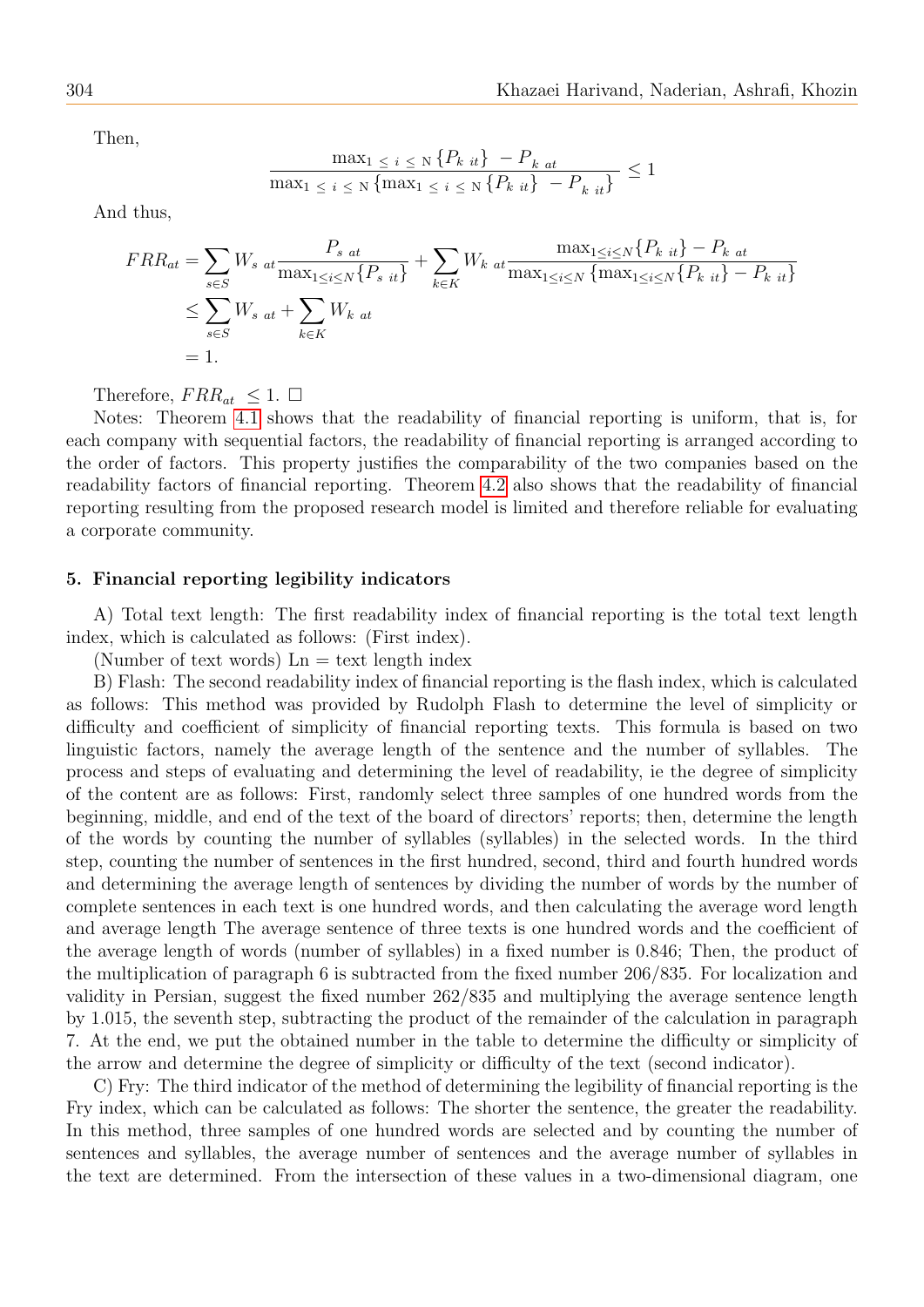Then,

$$
\frac{\max_{1 \le i \le N} \{P_{k it}\} - P_{k at}}{\max_{1 \le i \le N} \{\max_{1 \le i \le N} \{P_{k it}\} - P_{k it}\}} \le 1
$$

And thus,

$$
FRR_{at} = \sum_{s \in S} W_{s \ at} \frac{P_{s \ at}}{\max_{1 \le i \le N} \{P_{s \ it}\}} + \sum_{k \in K} W_{k \ at} \frac{\max_{1 \le i \le N} \{P_{k \ it}\} - P_{k \ at}}{\max_{1 \le i \le N} \{\max_{1 \le i \le N} \{P_{k \ it}\} - P_{k \ it}\}}
$$
  

$$
\le \sum_{s \in S} W_{s \ at} + \sum_{k \in K} W_{k \ at}
$$
  
= 1.

Therefore,  $FRR_{at} \leq 1$ .  $\Box$ 

Notes: Theorem [4.1](#page-6-0) shows that the readability of financial reporting is uniform, that is, for each company with sequential factors, the readability of financial reporting is arranged according to the order of factors. This property justifies the comparability of the two companies based on the readability factors of financial reporting. Theorem [4.2](#page-6-1) also shows that the readability of financial reporting resulting from the proposed research model is limited and therefore reliable for evaluating a corporate community.

#### 5. Financial reporting legibility indicators

A) Total text length: The first readability index of financial reporting is the total text length index, which is calculated as follows: (First index).

(Number of text words)  $\text{Ln} = \text{text length index}$ 

B) Flash: The second readability index of financial reporting is the flash index, which is calculated as follows: This method was provided by Rudolph Flash to determine the level of simplicity or difficulty and coefficient of simplicity of financial reporting texts. This formula is based on two linguistic factors, namely the average length of the sentence and the number of syllables. The process and steps of evaluating and determining the level of readability, ie the degree of simplicity of the content are as follows: First, randomly select three samples of one hundred words from the beginning, middle, and end of the text of the board of directors' reports; then, determine the length of the words by counting the number of syllables (syllables) in the selected words. In the third step, counting the number of sentences in the first hundred, second, third and fourth hundred words and determining the average length of sentences by dividing the number of words by the number of complete sentences in each text is one hundred words, and then calculating the average word length and average length The average sentence of three texts is one hundred words and the coefficient of the average length of words (number of syllables) in a fixed number is 0.846; Then, the product of the multiplication of paragraph 6 is subtracted from the fixed number 206/835. For localization and validity in Persian, suggest the fixed number 262/835 and multiplying the average sentence length by 1.015, the seventh step, subtracting the product of the remainder of the calculation in paragraph 7. At the end, we put the obtained number in the table to determine the difficulty or simplicity of the arrow and determine the degree of simplicity or difficulty of the text (second indicator).

C) Fry: The third indicator of the method of determining the legibility of financial reporting is the Fry index, which can be calculated as follows: The shorter the sentence, the greater the readability. In this method, three samples of one hundred words are selected and by counting the number of sentences and syllables, the average number of sentences and the average number of syllables in the text are determined. From the intersection of these values in a two-dimensional diagram, one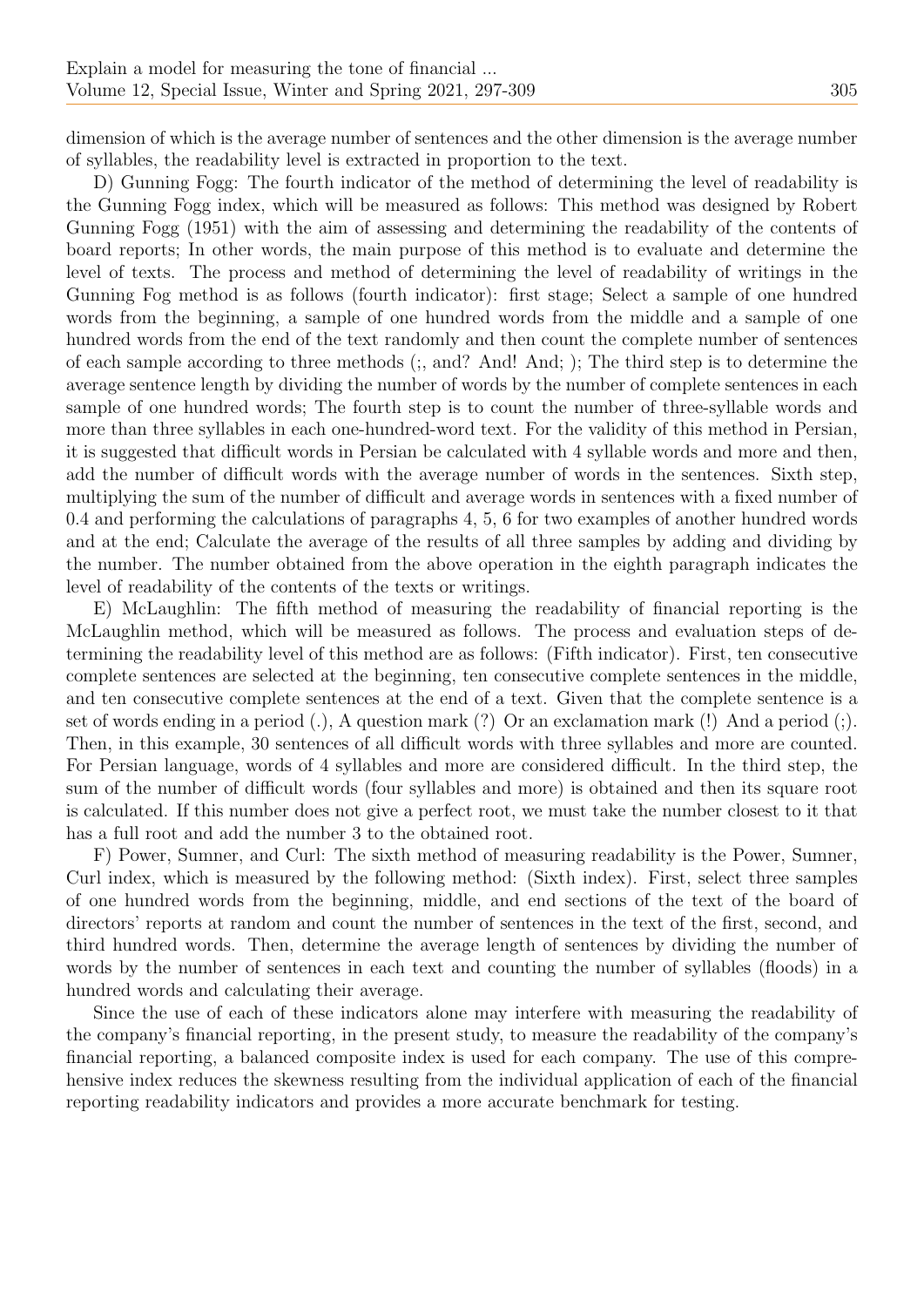dimension of which is the average number of sentences and the other dimension is the average number of syllables, the readability level is extracted in proportion to the text.

D) Gunning Fogg: The fourth indicator of the method of determining the level of readability is the Gunning Fogg index, which will be measured as follows: This method was designed by Robert Gunning Fogg (1951) with the aim of assessing and determining the readability of the contents of board reports; In other words, the main purpose of this method is to evaluate and determine the level of texts. The process and method of determining the level of readability of writings in the Gunning Fog method is as follows (fourth indicator): first stage; Select a sample of one hundred words from the beginning, a sample of one hundred words from the middle and a sample of one hundred words from the end of the text randomly and then count the complete number of sentences of each sample according to three methods (;, and? And! And; ); The third step is to determine the average sentence length by dividing the number of words by the number of complete sentences in each sample of one hundred words; The fourth step is to count the number of three-syllable words and more than three syllables in each one-hundred-word text. For the validity of this method in Persian, it is suggested that difficult words in Persian be calculated with 4 syllable words and more and then, add the number of difficult words with the average number of words in the sentences. Sixth step, multiplying the sum of the number of difficult and average words in sentences with a fixed number of 0.4 and performing the calculations of paragraphs 4, 5, 6 for two examples of another hundred words and at the end; Calculate the average of the results of all three samples by adding and dividing by the number. The number obtained from the above operation in the eighth paragraph indicates the level of readability of the contents of the texts or writings.

E) McLaughlin: The fifth method of measuring the readability of financial reporting is the McLaughlin method, which will be measured as follows. The process and evaluation steps of determining the readability level of this method are as follows: (Fifth indicator). First, ten consecutive complete sentences are selected at the beginning, ten consecutive complete sentences in the middle, and ten consecutive complete sentences at the end of a text. Given that the complete sentence is a set of words ending in a period (.), A question mark (?) Or an exclamation mark (!) And a period (;). Then, in this example, 30 sentences of all difficult words with three syllables and more are counted. For Persian language, words of 4 syllables and more are considered difficult. In the third step, the sum of the number of difficult words (four syllables and more) is obtained and then its square root is calculated. If this number does not give a perfect root, we must take the number closest to it that has a full root and add the number 3 to the obtained root.

F) Power, Sumner, and Curl: The sixth method of measuring readability is the Power, Sumner, Curl index, which is measured by the following method: (Sixth index). First, select three samples of one hundred words from the beginning, middle, and end sections of the text of the board of directors' reports at random and count the number of sentences in the text of the first, second, and third hundred words. Then, determine the average length of sentences by dividing the number of words by the number of sentences in each text and counting the number of syllables (floods) in a hundred words and calculating their average.

Since the use of each of these indicators alone may interfere with measuring the readability of the company's financial reporting, in the present study, to measure the readability of the company's financial reporting, a balanced composite index is used for each company. The use of this comprehensive index reduces the skewness resulting from the individual application of each of the financial reporting readability indicators and provides a more accurate benchmark for testing.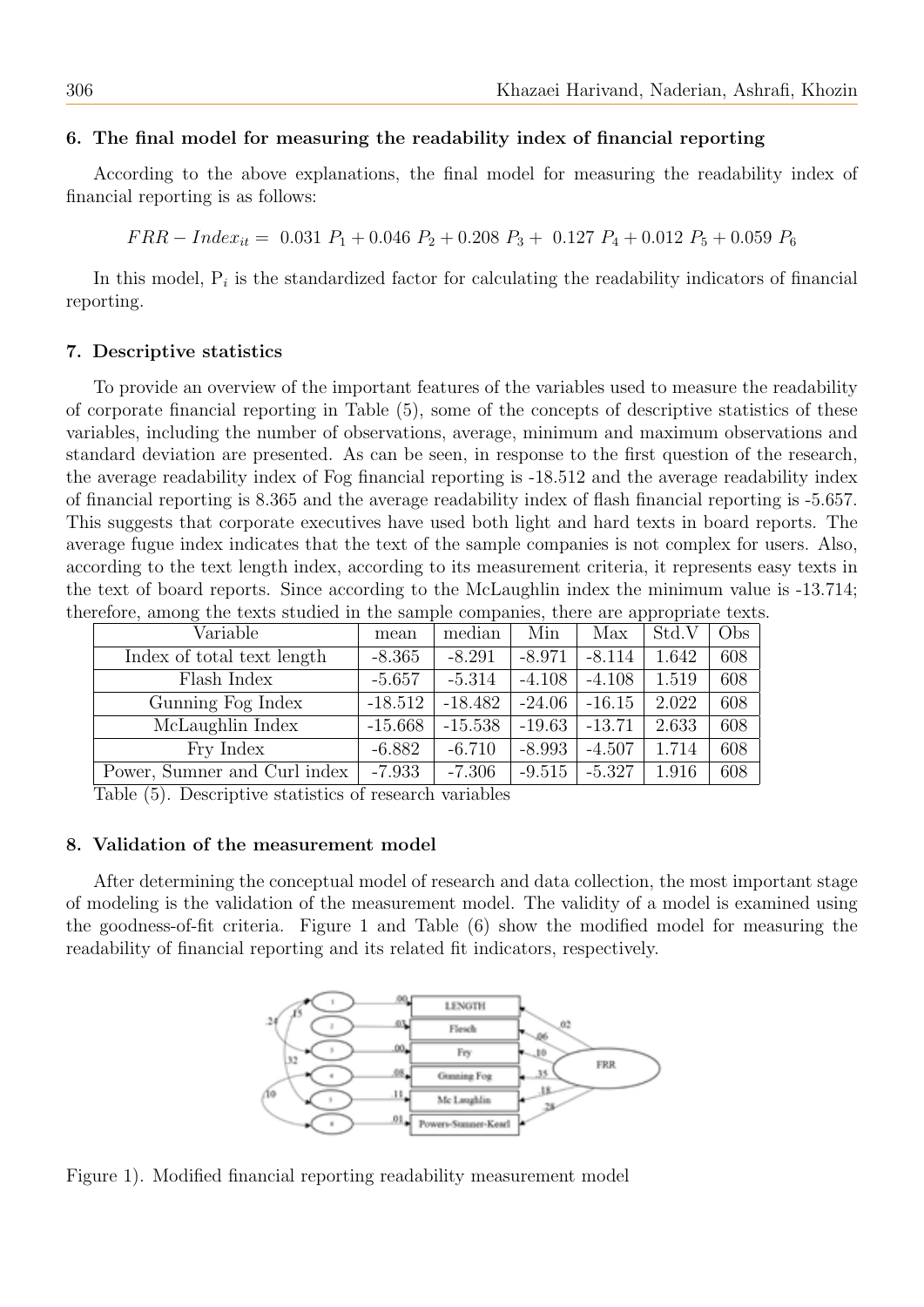## 6. The final model for measuring the readability index of financial reporting

According to the above explanations, the final model for measuring the readability index of financial reporting is as follows:

 $FRR - Index_{it} = 0.031 P_1 + 0.046 P_2 + 0.208 P_3 + 0.127 P_4 + 0.012 P_5 + 0.059 P_6$ 

In this model,  $P_i$  is the standardized factor for calculating the readability indicators of financial reporting.

### 7. Descriptive statistics

To provide an overview of the important features of the variables used to measure the readability of corporate financial reporting in Table (5), some of the concepts of descriptive statistics of these variables, including the number of observations, average, minimum and maximum observations and standard deviation are presented. As can be seen, in response to the first question of the research, the average readability index of Fog financial reporting is -18.512 and the average readability index of financial reporting is 8.365 and the average readability index of flash financial reporting is -5.657. This suggests that corporate executives have used both light and hard texts in board reports. The average fugue index indicates that the text of the sample companies is not complex for users. Also, according to the text length index, according to its measurement criteria, it represents easy texts in the text of board reports. Since according to the McLaughlin index the minimum value is -13.714; therefore, among the texts studied in the sample companies, there are appropriate texts.

| Variable                     | mean      | median    | Min      | Max      | Std.V | Obs |
|------------------------------|-----------|-----------|----------|----------|-------|-----|
| Index of total text length   | $-8.365$  | $-8.291$  | $-8.971$ | $-8.114$ | 1.642 | 608 |
| Flash Index                  | $-5.657$  | $-5.314$  | $-4.108$ | $-4.108$ | 1.519 | 608 |
| Gunning Fog Index            | $-18.512$ | $-18.482$ | $-24.06$ | $-16.15$ | 2.022 | 608 |
| McLaughlin Index             | $-15.668$ | $-15.538$ | $-19.63$ | $-13.71$ | 2.633 | 608 |
| Fry Index                    | $-6.882$  | $-6.710$  | $-8.993$ | $-4.507$ | 1.714 | 608 |
| Power, Sumner and Curl index | $-7.933$  | $-7.306$  | $-9.515$ | $-5.327$ | 1.916 | 608 |

Table (5). Descriptive statistics of research variables

### 8. Validation of the measurement model

After determining the conceptual model of research and data collection, the most important stage of modeling is the validation of the measurement model. The validity of a model is examined using the goodness-of-fit criteria. Figure 1 and Table (6) show the modified model for measuring the readability of financial reporting and its related fit indicators, respectively.



Figure 1). Modified financial reporting readability measurement model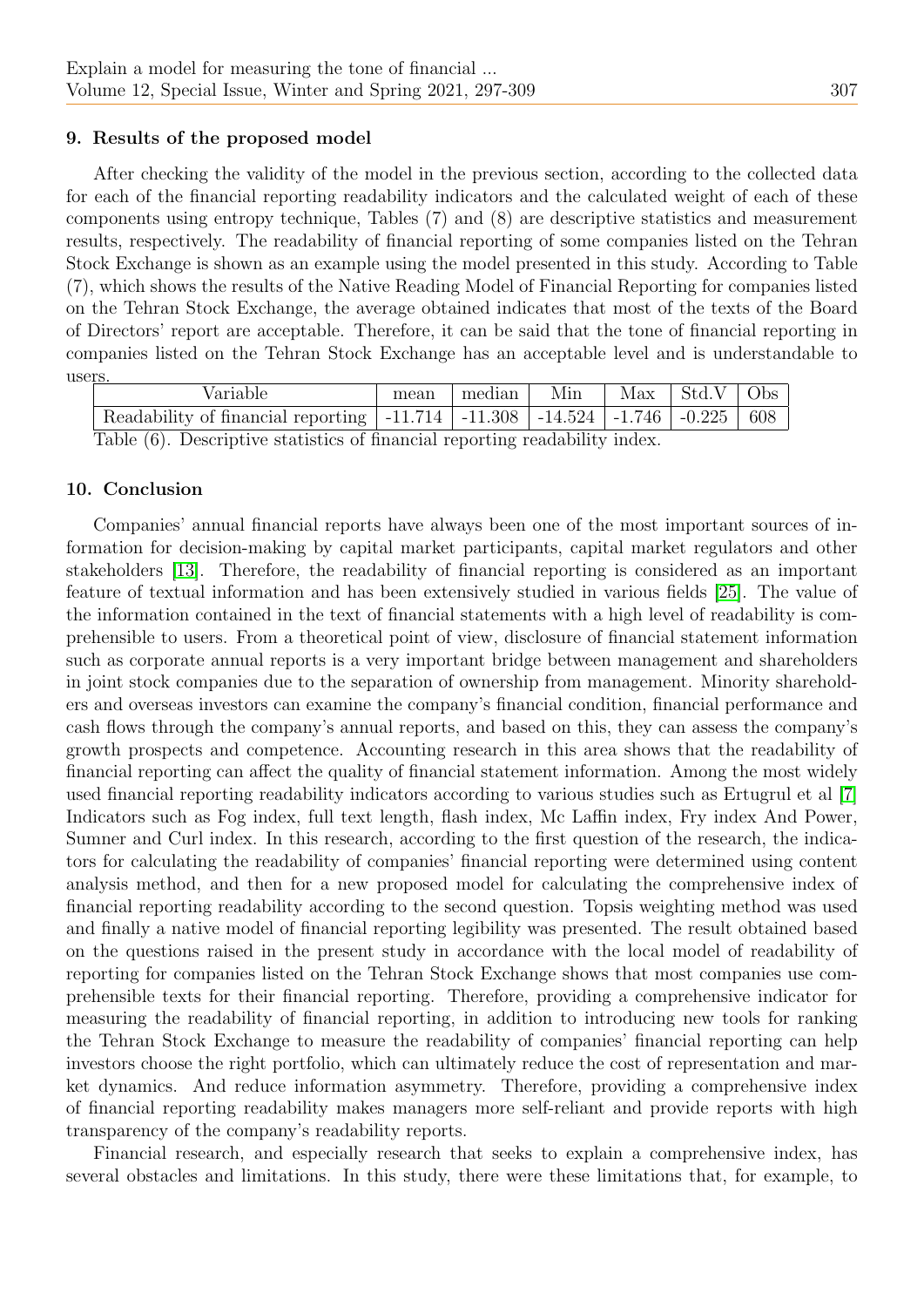## 9. Results of the proposed model

After checking the validity of the model in the previous section, according to the collected data for each of the financial reporting readability indicators and the calculated weight of each of these components using entropy technique, Tables (7) and (8) are descriptive statistics and measurement results, respectively. The readability of financial reporting of some companies listed on the Tehran Stock Exchange is shown as an example using the model presented in this study. According to Table (7), which shows the results of the Native Reading Model of Financial Reporting for companies listed on the Tehran Stock Exchange, the average obtained indicates that most of the texts of the Board of Directors' report are acceptable. Therefore, it can be said that the tone of financial reporting in companies listed on the Tehran Stock Exchange has an acceptable level and is understandable to users.

|                                                                             | Variable                                                                                                                     |  | $mean$   median | Min |  | $\text{Max}$   Std.V   Obs |  |
|-----------------------------------------------------------------------------|------------------------------------------------------------------------------------------------------------------------------|--|-----------------|-----|--|----------------------------|--|
|                                                                             | Readability of financial reporting $\vert$ -11.714 $\vert$ -11.308 $\vert$ -14.524 $\vert$ -1.746 $\vert$ -0.225 $\vert$ 608 |  |                 |     |  |                            |  |
| Table (6). Descriptive statistics of financial reporting readability index. |                                                                                                                              |  |                 |     |  |                            |  |

### 10. Conclusion

Companies' annual financial reports have always been one of the most important sources of information for decision-making by capital market participants, capital market regulators and other stakeholders [\[13\]](#page-11-18). Therefore, the readability of financial reporting is considered as an important feature of textual information and has been extensively studied in various fields [\[25\]](#page-12-1). The value of the information contained in the text of financial statements with a high level of readability is comprehensible to users. From a theoretical point of view, disclosure of financial statement information such as corporate annual reports is a very important bridge between management and shareholders in joint stock companies due to the separation of ownership from management. Minority shareholders and overseas investors can examine the company's financial condition, financial performance and cash flows through the company's annual reports, and based on this, they can assess the company's growth prospects and competence. Accounting research in this area shows that the readability of financial reporting can affect the quality of financial statement information. Among the most widely used financial reporting readability indicators according to various studies such as Ertugrul et al [\[7\]](#page-11-1) Indicators such as Fog index, full text length, flash index, Mc Laffin index, Fry index And Power, Sumner and Curl index. In this research, according to the first question of the research, the indicators for calculating the readability of companies' financial reporting were determined using content analysis method, and then for a new proposed model for calculating the comprehensive index of financial reporting readability according to the second question. Topsis weighting method was used and finally a native model of financial reporting legibility was presented. The result obtained based on the questions raised in the present study in accordance with the local model of readability of reporting for companies listed on the Tehran Stock Exchange shows that most companies use comprehensible texts for their financial reporting. Therefore, providing a comprehensive indicator for measuring the readability of financial reporting, in addition to introducing new tools for ranking the Tehran Stock Exchange to measure the readability of companies' financial reporting can help investors choose the right portfolio, which can ultimately reduce the cost of representation and market dynamics. And reduce information asymmetry. Therefore, providing a comprehensive index of financial reporting readability makes managers more self-reliant and provide reports with high transparency of the company's readability reports.

Financial research, and especially research that seeks to explain a comprehensive index, has several obstacles and limitations. In this study, there were these limitations that, for example, to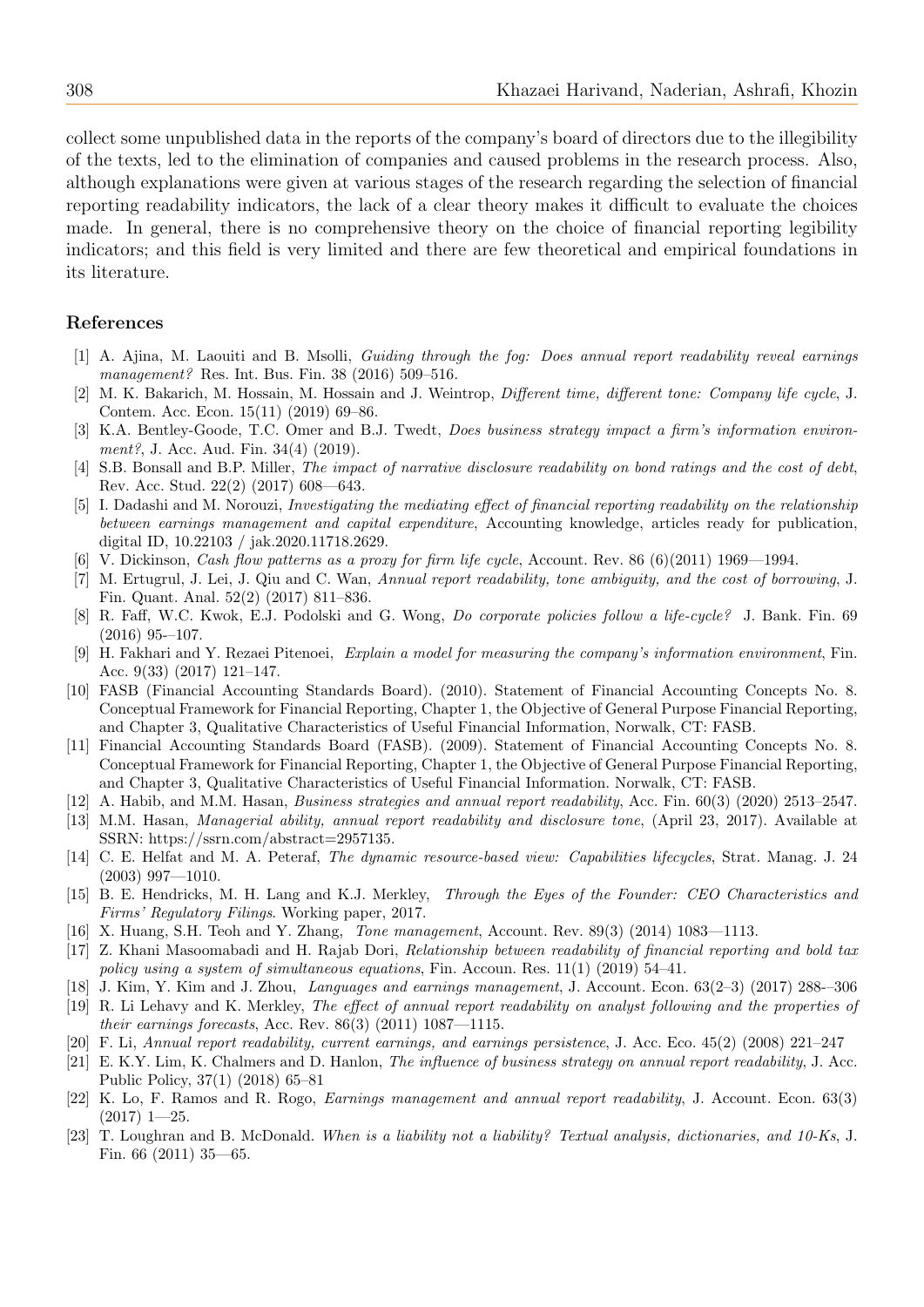collect some unpublished data in the reports of the company's board of directors due to the illegibility of the texts, led to the elimination of companies and caused problems in the research process. Also, although explanations were given at various stages of the research regarding the selection of financial reporting readability indicators, the lack of a clear theory makes it difficult to evaluate the choices made. In general, there is no comprehensive theory on the choice of financial reporting legibility indicators; and this field is very limited and there are few theoretical and empirical foundations in its literature.

#### References

- <span id="page-11-19"></span>[1] A. Ajina, M. Laouiti and B. Msolli, Guiding through the fog: Does annual report readability reveal earnings management? Res. Int. Bus. Fin. 38 (2016) 509–516.
- <span id="page-11-11"></span>[2] M. K. Bakarich, M. Hossain, M. Hossain and J. Weintrop, Different time, different tone: Company life cycle, J. Contem. Acc. Econ. 15(11) (2019) 69–86.
- <span id="page-11-10"></span>[3] K.A. Bentley-Goode, T.C. Omer and B.J. Twedt, Does business strategy impact a firm's information environment?, J. Acc. Aud. Fin. 34(4) (2019).
- <span id="page-11-8"></span>[4] S.B. Bonsall and B.P. Miller, The impact of narrative disclosure readability on bond ratings and the cost of debt, Rev. Acc. Stud. 22(2) (2017) 608—643.
- <span id="page-11-0"></span>[5] I. Dadashi and M. Norouzi, Investigating the mediating effect of financial reporting readability on the relationship between earnings management and capital expenditure, Accounting knowledge, articles ready for publication, digital ID, 10.22103 / jak.2020.11718.2629.
- <span id="page-11-12"></span>[6] V. Dickinson, Cash flow patterns as a proxy for firm life cycle, Account. Rev. 86 (6)(2011) 1969—1994.
- <span id="page-11-1"></span>[7] M. Ertugrul, J. Lei, J. Qiu and C. Wan, Annual report readability, tone ambiguity, and the cost of borrowing, J. Fin. Quant. Anal. 52(2) (2017) 811–836.
- <span id="page-11-17"></span>[8] R. Faff, W.C. Kwok, E.J. Podolski and G. Wong, Do corporate policies follow a life-cycle? J. Bank. Fin. 69 (2016) 95-–107.
- [9] H. Fakhari and Y. Rezaei Pitenoei, Explain a model for measuring the company's information environment, Fin. Acc. 9(33) (2017) 121–147.
- <span id="page-11-6"></span>[10] FASB (Financial Accounting Standards Board). (2010). Statement of Financial Accounting Concepts No. 8. Conceptual Framework for Financial Reporting, Chapter 1, the Objective of General Purpose Financial Reporting, and Chapter 3, Qualitative Characteristics of Useful Financial Information, Norwalk, CT: FASB.
- <span id="page-11-7"></span>[11] Financial Accounting Standards Board (FASB). (2009). Statement of Financial Accounting Concepts No. 8. Conceptual Framework for Financial Reporting, Chapter 1, the Objective of General Purpose Financial Reporting, and Chapter 3, Qualitative Characteristics of Useful Financial Information. Norwalk, CT: FASB.
- <span id="page-11-5"></span>[12] A. Habib, and M.M. Hasan, Business strategies and annual report readability, Acc. Fin. 60(3) (2020) 2513–2547.
- <span id="page-11-18"></span>[13] M.M. Hasan, Managerial ability, annual report readability and disclosure tone, (April 23, 2017). Available at SSRN: https://ssrn.com/abstract=2957135.
- <span id="page-11-13"></span>[14] C. E. Helfat and M. A. Peteraf, The dynamic resource-based view: Capabilities lifecycles, Strat. Manag. J. 24 (2003) 997—1010.
- <span id="page-11-15"></span>[15] B. E. Hendricks, M. H. Lang and K.J. Merkley, Through the Eyes of the Founder: CEO Characteristics and Firms' Regulatory Filings. Working paper, 2017.
- <span id="page-11-16"></span>[16] X. Huang, S.H. Teoh and Y. Zhang, *Tone management*, Account. Rev. 89(3) (2014) 1083—1113.
- <span id="page-11-2"></span>[17] Z. Khani Masoomabadi and H. Rajab Dori, Relationship between readability of financial reporting and bold tax policy using a system of simultaneous equations, Fin. Accoun. Res.  $11(1)$  (2019) 54–41.
- <span id="page-11-4"></span>[18] J. Kim, Y. Kim and J. Zhou, Languages and earnings management, J. Account. Econ. 63(2–3) (2017) 288-–306
- <span id="page-11-20"></span>[19] R. Li Lehavy and K. Merkley, The effect of annual report readability on analyst following and the properties of their earnings forecasts, Acc. Rev. 86(3) (2011) 1087—1115.
- <span id="page-11-3"></span>[20] F. Li, Annual report readability, current earnings, and earnings persistence, J. Acc. Eco. 45(2) (2008) 221–247
- <span id="page-11-14"></span>[21] E. K.Y. Lim, K. Chalmers and D. Hanlon, The influence of business strategy on annual report readability, J. Acc. Public Policy, 37(1) (2018) 65–81
- [22] K. Lo, F. Ramos and R. Rogo, *Earnings management and annual report readability*, J. Account. Econ. 63(3) (2017) 1—25.
- <span id="page-11-9"></span>[23] T. Loughran and B. McDonald. When is a liability not a liability? Textual analysis, dictionaries, and 10-Ks, J. Fin. 66 (2011) 35—65.